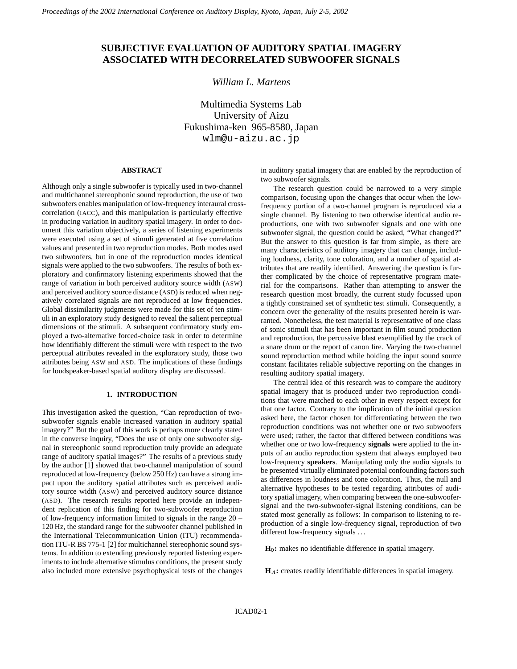# **SUBJECTIVE EVALUATION OF AUDITORY SPATIAL IMAGERY ASSOCIATED WITH DECORRELATED SUBWOOFER SIGNALS**

# *William L. Martens*

Multimedia Systems Lab University of Aizu Fukushima-ken 965-8580, Japan wlm@u-aizu.ac.jp

### **ABSTRACT**

Although only a single subwoofer is typically used in two-channel and multichannel stereophonic sound reproduction, the use of two subwoofers enables manipulation of low-frequency interaural crosscorrelation (IACC), and this manipulation is particularly effective in producing variation in auditory spatial imagery. In order to document this variation objectively, a series of listening experiments were executed using a set of stimuli generated at five correlation values and presented in two reproduction modes. Both modes used two subwoofers, but in one of the reproduction modes identical signals were applied to the two subwoofers. The results of both exploratory and confirmatory listening experiments showed that the range of variation in both perceived auditory source width (ASW) and perceived auditory source distance (ASD) is reduced when negatively correlated signals are not reproduced at low frequencies. Global dissimilarity judgments were made for this set of ten stimuli in an exploratory study designed to reveal the salient perceptual dimensions of the stimuli. A subsequent confirmatory study employed a two-alternative forced-choice task in order to determine how identifiably different the stimuli were with respect to the two perceptual attributes revealed in the exploratory study, those two attributes being ASW and ASD. The implications of these findings for loudspeaker-based spatial auditory display are discussed.

# **1. INTRODUCTION**

This investigation asked the question, "Can reproduction of twosubwoofer signals enable increased variation in auditory spatial imagery?" But the goal of this work is perhaps more clearly stated in the converse inquiry, "Does the use of only one subwoofer signal in stereophonic sound reproduction truly provide an adequate range of auditory spatial images?" The results of a previous study by the author [1] showed that two-channel manipulation of sound reproduced at low-frequency (below 250 Hz) can have a strong impact upon the auditory spatial attributes such as perceived auditory source width (ASW) and perceived auditory source distance (ASD). The research results reported here provide an independent replication of this finding for two-subwoofer reproduction of low-frequency information limited to signals in the range 20 – 120 Hz, the standard range for the subwoofer channel published in the International Telecommunication Union (ITU) recommendation ITU-R BS 775-1 [2] for multichannel stereophonic sound systems. In addition to extending previously reported listening experiments to include alternative stimulus conditions, the present study also included more extensive psychophysical tests of the changes

in auditory spatial imagery that are enabled by the reproduction of two subwoofer signals.

The research question could be narrowed to a very simple comparison, focusing upon the changes that occur when the lowfrequency portion of a two-channel program is reproduced via a single channel. By listening to two otherwise identical audio reproductions, one with two subwoofer signals and one with one subwoofer signal, the question could be asked, "What changed?" But the answer to this question is far from simple, as there are many characteristics of auditory imagery that can change, including loudness, clarity, tone coloration, and a number of spatial attributes that are readily identified. Answering the question is further complicated by the choice of representative program material for the comparisons. Rather than attempting to answer the research question most broadly, the current study focussed upon a tightly constrained set of synthetic test stimuli. Consequently, a concern over the generality of the results presented herein is warranted. Nonetheless, the test material is representative of one class of sonic stimuli that has been important in film sound production and reproduction, the percussive blast exemplified by the crack of a snare drum or the report of canon fire. Varying the two-channel sound reproduction method while holding the input sound source constant facilitates reliable subjective reporting on the changes in resulting auditory spatial imagery.

The central idea of this research was to compare the auditory spatial imagery that is produced under two reproduction conditions that were matched to each other in every respect except for that one factor. Contrary to the implication of the initial question asked here, the factor chosen for differentiating between the two reproduction conditions was not whether one or two subwoofers were used; rather, the factor that differed between conditions was whether one or two low-frequency **signals** were applied to the inputs of an audio reproduction system that always employed two low-frequency **speakers**. Manipulating only the audio signals to be presented virtually eliminated potential confounding factors such as differences in loudness and tone coloration. Thus, the null and alternative hypotheses to be tested regarding attributes of auditory spatial imagery, when comparing between the one-subwoofersignal and the two-subwoofer-signal listening conditions, can be stated most generally as follows: In comparison to listening to reproduction of a single low-frequency signal, reproduction of two different low-frequency signals ...

**H :** makes no identifiable difference in spatial imagery.

**H<sub>A</sub>**: creates readily identifiable differences in spatial imagery.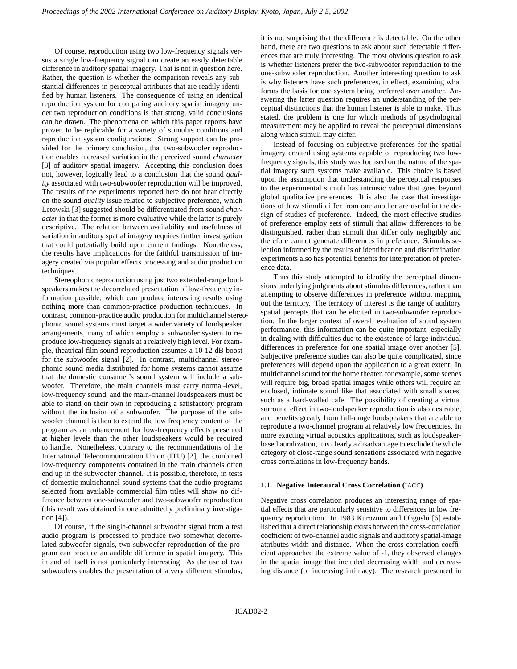Of course, reproduction using two low-frequency signals versus a single low-frequency signal can create an easily detectable difference in auditory spatial imagery. That is not in question here. Rather, the question is whether the comparison reveals any substantial differences in perceptual attributes that are readily identified by human listeners. The consequence of using an identical reproduction system for comparing auditory spatial imagery under two reproduction conditions is that strong, valid conclusions can be drawn. The phenomena on which this paper reports have proven to be replicable for a variety of stimulus conditions and reproduction system configurations. Strong support can be provided for the primary conclusion, that two-subwoofer reproduction enables increased variation in the perceived sound *character* [3] of auditory spatial imagery. Accepting this conclusion does not, however, logically lead to a conclusion that the sound *quality* associated with two-subwoofer reproduction will be improved. The results of the experiments reported here do not bear directly on the sound *quality* issue related to subjective preference, which Letowski [3] suggested should be differentiated from sound *character* in that the former is more evaluative while the latter is purely descriptive. The relation between availability and usefulness of variation in auditory spatial imagery requires further investigation that could potentially build upon current findings. Nonetheless, the results have implications for the faithful transmission of imagery created via popular effects processing and audio production techniques.

Stereophonic reproduction using just two extended-range loudspeakers makes the decorrelated presentation of low-frequency information possible, which can produce interesting results using nothing more than common-practice production techniques. In contrast, common-practice audio production for multichannel stereophonic sound systems must target a wider variety of loudspeaker arrangements, many of which employ a subwoofer system to reproduce low-frequency signals at a relatively high level. For example, theatrical film sound reproduction assumes a 10-12 dB boost for the subwoofer signal [2]. In contrast, multichannel stereophonic sound media distributed for home systems cannot assume that the domestic consumer's sound system will include a subwoofer. Therefore, the main channels must carry normal-level, low-frequency sound, and the main-channel loudspeakers must be able to stand on their own in reproducing a satisfactory program without the inclusion of a subwoofer. The purpose of the subwoofer channel is then to extend the low frequency content of the program as an enhancement for low-frequency effects presented at higher levels than the other loudspeakers would be required to handle. Nonetheless, contrary to the recommendations of the International Telecommunication Union (ITU) [2], the combined low-frequency components contained in the main channels often end up in the subwoofer channel. It is possible, therefore, in tests of domestic multichannel sound systems that the audio programs selected from available commercial film titles will show no difference between one-subwoofer and two-subwoofer reproduction (this result was obtained in one admittedly preliminary investigation [4]).

Of course, if the single-channel subwoofer signal from a test audio program is processed to produce two somewhat decorrelated subwoofer signals, two-subwoofer reproduction of the program can produce an audible difference in spatial imagery. This in and of itself is not particularly interesting. As the use of two subwoofers enables the presentation of a very different stimulus,

it is not surprising that the difference is detectable. On the other hand, there are two questions to ask about such detectable differences that are truly interesting. The most obvious question to ask is whether listeners prefer the two-subwoofer reproduction to the one-subwoofer reproduction. Another interesting question to ask is why listeners have such preferences, in effect, examining what forms the basis for one system being preferred over another. Answering the latter question requires an understanding of the perceptual distinctions that the human listener is able to make. Thus stated, the problem is one for which methods of psychological measurement may be applied to reveal the perceptual dimensions along which stimuli may differ.

Instead of focusing on subjective preferences for the spatial imagery created using systems capable of reproducing two lowfrequency signals, this study was focused on the nature of the spatial imagery such systems make available. This choice is based upon the assumption that understanding the perceptual responses to the experimental stimuli has intrinsic value that goes beyond global qualitative preferences. It is also the case that investigations of how stimuli differ from one another are useful in the design of studies of preference. Indeed, the most effective studies of preference employ sets of stimuli that allow differences to be distinguished, rather than stimuli that differ only negligibly and therefore cannot generate differences in preference. Stimulus selection informed by the results of identification and discrimination experiments also has potential benefits for interpretation of preference data.

Thus this study attempted to identify the perceptual dimensions underlying judgments about stimulus differences, rather than attempting to observe differences in preference without mapping out the territory. The territory of interest is the range of auditory spatial percepts that can be elicited in two-subwoofer reproduction. In the larger context of overall evaluation of sound system performance, this information can be quite important, especially in dealing with difficulties due to the existence of large individual differences in preference for one spatial image over another [5]. Subjective preference studies can also be quite complicated, since preferences will depend upon the application to a great extent. In multichannel sound for the home theater, for example, some scenes will require big, broad spatial images while others will require an enclosed, intimate sound like that associated with small spaces, such as a hard-walled cafe. The possibility of creating a virtual surround effect in two-loudspeaker reproduction is also desirable, and benefits greatly from full-range loudspeakers that are able to reproduce a two-channel program at relatively low frequencies. In more exacting virtual acoustics applications, such as loudspeakerbased auralization, it is clearly a disadvantage to exclude the whole category of close-range sound sensations associated with negative cross correlations in low-frequency bands.

### **1.1. Negative Interaural Cross Correlation (**IACC**)**

Negative cross correlation produces an interesting range of spatial effects that are particularly sensitive to differences in low frequency reproduction. In 1983 Kurozumi and Ohgushi [6] established that a direct relationship exists between the cross-correlation coefficient of two-channel audio signals and auditory spatial-image attributes width and distance. When the cross-correlation coefficient approached the extreme value of -1, they observed changes in the spatial image that included decreasing width and decreasing distance (or increasing intimacy). The research presented in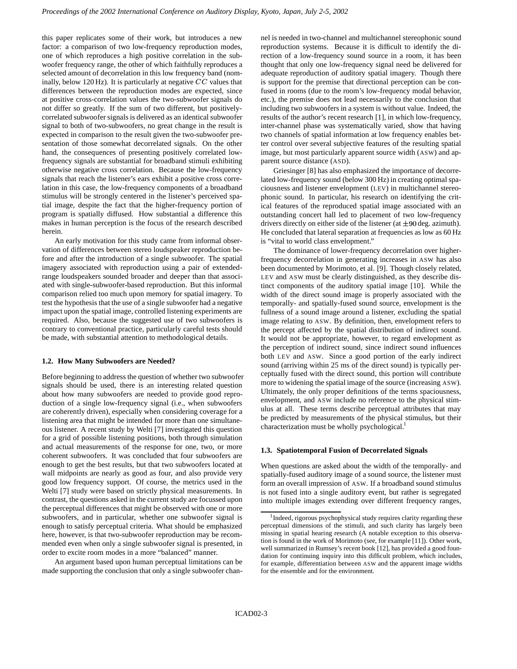this paper replicates some of their work, but introduces a new factor: a comparison of two low-frequency reproduction modes, one of which reproduces a high positive correlation in the subwoofer frequency range, the other of which faithfully reproduces a selected amount of decorrelation in this low frequency band (nominally, below 120 Hz). It is particularly at negative  $CC$  values that differences between the reproduction modes are expected, since at positive cross-correlation values the two-subwoofer signals do not differ so greatly. If the sum of two different, but positivelycorrelated subwoofer signals is delivered as an identical subwoofer signal to both of two-subwoofers, no great change in the result is expected in comparison to the result given the two-subwoofer presentation of those somewhat decorrelated signals. On the other hand, the consequences of presenting positively correlated lowfrequency signals are substantial for broadband stimuli exhibiting otherwise negative cross correlation. Because the low-frequency signals that reach the listener's ears exhibit a positive cross correlation in this case, the low-frequency components of a broadband stimulus will be strongly centered in the listener's perceived spatial image, despite the fact that the higher-frequency portion of program is spatially diffused. How substantial a difference this makes in human perception is the focus of the research described herein.

An early motivation for this study came from informal observation of differences between stereo loudspeaker reproduction before and after the introduction of a single subwoofer. The spatial imagery associated with reproduction using a pair of extendedrange loudspeakers sounded broader and deeper than that associated with single-subwoofer-based reproduction. But this informal comparison relied too much upon memory for spatial imagery. To test the hypothesis that the use of a single subwoofer had a negative impact upon the spatial image, controlled listening experiments are required. Also, because the suggested use of two subwoofers is contrary to conventional practice, particularly careful tests should be made, with substantial attention to methodological details.

### **1.2. How Many Subwoofers are Needed?**

Before beginning to address the question of whether two subwoofer signals should be used, there is an interesting related question about how many subwoofers are needed to provide good reproduction of a single low-frequency signal (i.e., when subwoofers are coherently driven), especially when considering coverage for a listening area that might be intended for more than one simultaneous listener. A recent study by Welti [7] investigated this question for a grid of possible listening positions, both through simulation and actual measurements of the response for one, two, or more coherent subwoofers. It was concluded that four subwoofers are enough to get the best results, but that two subwoofers located at wall midpoints are nearly as good as four, and also provide very good low frequency support. Of course, the metrics used in the Welti [7] study were based on strictly physical measurements. In contrast, the questions asked in the current study are focussed upon the perceptual differences that might be observed with one or more subwoofers, and in particular, whether one subwoofer signal is enough to satisfy perceptual criteria. What should be emphasized here, however, is that two-subwoofer reproduction may be recommended even when only a single subwoofer signal is presented, in order to excite room modes in a more "balanced" manner.

An argument based upon human perceptual limitations can be made supporting the conclusion that only a single subwoofer channel is needed in two-channel and multichannel stereophonic sound reproduction systems. Because it is difficult to identify the direction of a low-frequency sound source in a room, it has been thought that only one low-frequency signal need be delivered for adequate reproduction of auditory spatial imagery. Though there is support for the premise that directional perception can be confused in rooms (due to the room's low-frequency modal behavior, etc.), the premise does not lead necessarily to the conclusion that including two subwoofers in a system is without value. Indeed, the results of the author's recent research [1], in which low-frequency, inter-channel phase was systematically varied, show that having two channels of spatial information at low frequency enables better control over several subjective features of the resulting spatial image, but most particularly apparent source width (ASW) and apparent source distance (ASD).

Griesinger [8] has also emphasized the importance of decorrelated low-frequency sound (below 300 Hz) in creating optimal spaciousness and listener envelopment (LEV) in multichannel stereophonic sound. In particular, his research on identifying the critical features of the reproduced spatial image associated with an outstanding concert hall led to placement of two low-frequency drivers directly on either side of the listener (at  $\pm 90$  deg. azimuth). He concluded that lateral separation at frequencies as low as 60 Hz is "vital to world class envelopment."

The dominance of lower-frequency decorrelation over higherfrequency decorrelation in generating increases in ASW has also been documented by Morimoto, et al. [9]. Though closely related, LEV and ASW must be clearly distinguished, as they describe distinct components of the auditory spatial image [10]. While the width of the direct sound image is properly associated with the temporally- and spatially-fused sound source, envelopment is the fullness of a sound image around a listener, excluding the spatial image relating to ASW. By definition, then, envelopment refers to the percept affected by the spatial distribution of indirect sound. It would not be appropriate, however, to regard envelopment as the perception of indirect sound, since indirect sound influences both LEV and ASW. Since a good portion of the early indirect sound (arriving within 25 ms of the direct sound) is typically perceptually fused with the direct sound, this portion will contribute more to widening the spatial image of the source (increasing ASW). Ultimately, the only proper definitions of the terms spaciousness, envelopment, and ASW include no reference to the physical stimulus at all. These terms describe perceptual attributes that may be predicted by measurements of the physical stimulus, but their characterization must be wholly psychological.<sup>1</sup>

### **1.3. Spatiotemporal Fusion of Decorrelated Signals**

When questions are asked about the width of the temporally- and spatially-fused auditory image of a sound source, the listener must form an overall impression of ASW. If a broadband sound stimulus is not fused into a single auditory event, but rather is segregated into multiple images extending over different frequency ranges,

<sup>&</sup>lt;sup>1</sup>Indeed, rigorous psychophysical study requires clarity regarding these perceptual dimensions of the stimuli, and such clarity has largely been missing in spatial hearing research (A notable exception to this observation is found in the work of Morimoto (see, for example [11]). Other work, well summarized in Rumsey's recent book [12], has provided a good foundation for continuing inquiry into this difficult problem, which includes, for example, differentiation between ASW and the apparent image widths for the ensemble and for the environment.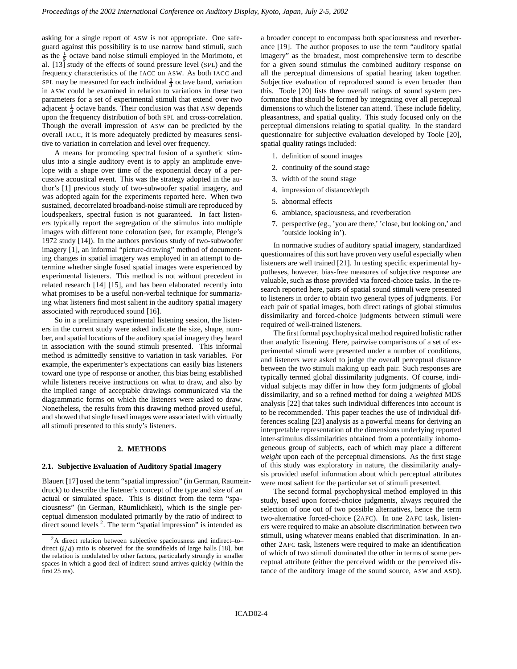asking for a single report of ASW is not appropriate. One safeguard against this possibility is to use narrow band stimuli, such as the  $\frac{1}{3}$  octave band noise stimuli employed in the Morimoto, et al. [13] study of the effects of sound pressure level (SPL) and the frequency characteristics of the IACC on ASW. As both IACC and SPL may be measured for each individual  $\frac{1}{3}$  octave band, variation in ASW could be examined in relation to variations in these two parameters for a set of experimental stimuli that extend over two adjacent  $\frac{1}{3}$  octave bands. Their conclusion was that ASW depends upon the frequency distribution of both SPL and cross-correlation. Though the overall impression of ASW can be predicted by the overall IACC, it is more adequately predicted by measures sensitive to variation in correlation and level over frequency.

A means for promoting spectral fusion of a synthetic stimulus into a single auditory event is to apply an amplitude envelope with a shape over time of the exponential decay of a percussive acoustical event. This was the strategy adopted in the author's [1] previous study of two-subwoofer spatial imagery, and was adopted again for the experiments reported here. When two sustained, decorrelated broadband-noise stimuli are reproduced by loudspeakers, spectral fusion is not guaranteed. In fact listeners typically report the segregation of the stimulus into multiple images with different tone coloration (see, for example, Plenge's 1972 study [14]). In the authors previous study of two-subwoofer imagery [1], an informal "picture-drawing" method of documenting changes in spatial imagery was employed in an attempt to determine whether single fused spatial images were experienced by experimental listeners. This method is not without precedent in related research [14] [15], and has been elaborated recently into what promises to be a useful non-verbal technique for summarizing what listeners find most salient in the auditory spatial imagery associated with reproduced sound [16].

So in a preliminary experimental listening session, the listeners in the current study were asked indicate the size, shape, number, and spatial locations of the auditory spatial imagery they heard in association with the sound stimuli presented. This informal method is admittedly sensitive to variation in task variables. For example, the experimenter's expectations can easily bias listeners toward one type of response or another, this bias being established while listeners receive instructions on what to draw, and also by the implied range of acceptable drawings communicated via the diagrammatic forms on which the listeners were asked to draw. Nonetheless, the results from this drawing method proved useful, and showed that single fused images were associated with virtually all stimuli presented to this study's listeners.

### **2. METHODS**

#### **2.1. Subjective Evaluation of Auditory Spatial Imagery**

Blauert [17] used the term "spatial impression" (in German, Raumeindruck) to describe the listener's concept of the type and size of an actual or simulated space. This is distinct from the term "spaciousness" (in German, Räumlichkeit), which is the single perceptual dimension modulated primarily by the ratio of indirect to direct sound levels  $2$ . The term "spatial impression" is intended as

a broader concept to encompass both spaciousness and reverberance [19]. The author proposes to use the term "auditory spatial imagery" as the broadest, most comprehensive term to describe for a given sound stimulus the combined auditory response on all the perceptual dimensions of spatial hearing taken together. Subjective evaluation of reproduced sound is even broader than this. Toole [20] lists three overall ratings of sound system performance that should be formed by integrating over all perceptual dimensions to which the listener can attend. These include fidelity, pleasantness, and spatial quality. This study focused only on the perceptual dimensions relating to spatial quality. In the standard questionnaire for subjective evaluation developed by Toole [20], spatial quality ratings included:

- 1. definition of sound images
- 2. continuity of the sound stage
- 3. width of the sound stage
- 4. impression of distance/depth
- 5. abnormal effects
- 6. ambiance, spaciousness, and reverberation
- 7. perspective (eg., 'you are there,' 'close, but looking on,' and 'outside looking in').

In normative studies of auditory spatial imagery, standardized questionnaires of this sort have proven very useful especially when listeners are well trained [21]. In testing specific experimental hypotheses, however, bias-free measures of subjective response are valuable, such as those provided via forced-choice tasks. In the research reported here, pairs of spatial sound stimuli were presented to listeners in order to obtain two general types of judgments. For each pair of spatial images, both direct ratings of global stimulus dissimilarity and forced-choice judgments between stimuli were required of well-trained listeners.

The first formal psychophysical method required holistic rather than analytic listening. Here, pairwise comparisons of a set of experimental stimuli were presented under a number of conditions, and listeners were asked to judge the overall perceptual distance between the two stimuli making up each pair. Such responses are typically termed global dissimilarity judgments. Of course, individual subjects may differ in how they form judgments of global dissimilarity, and so a refined method for doing a *weighted* MDS analysis [22] that takes such individual differences into account is to be recommended. This paper teaches the use of individual differences scaling [23] analysis as a powerful means for deriving an interpretable representation of the dimensions underlying reported inter-stimulus dissimilarities obtained from a potentially inhomogeneous group of subjects, each of which may place a different *weight* upon each of the perceptual dimensions. As the first stage of this study was exploratory in nature, the dissimilarity analysis provided useful information about which perceptual attributes were most salient for the particular set of stimuli presented.

The second formal psychophysical method employed in this study, based upon forced-choice judgments, always required the selection of one out of two possible alternatives, hence the term two-alternative forced-choice (2AFC). In one 2AFC task, listeners were required to make an absolute discrimination between two stimuli, using whatever means enabled that discrimination. In another 2AFC task, listeners were required to make an identification of which of two stimuli dominated the other in terms of some perceptual attribute (either the perceived width or the perceived distance of the auditory image of the sound source, ASW and ASD).

 $2A$  direct relation between subjective spaciousness and indirect–to– direct  $(i/d)$  ratio is observed for the soundfields of large halls [18], but the relation is modulated by other factors, particularly strongly in smaller spaces in which a good deal of indirect sound arrives quickly (within the first 25 ms).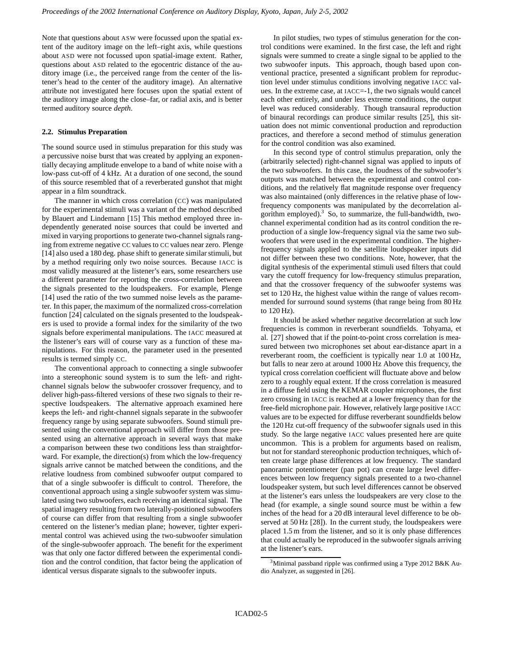Note that questions about ASW were focussed upon the spatial extent of the auditory image on the left–right axis, while questions about ASD were not focussed upon spatial-image extent. Rather, questions about ASD related to the egocentric distance of the auditory image (i.e., the perceived range from the center of the listener's head to the center of the auditory image). An alternative attribute not investigated here focuses upon the spatial extent of the auditory image along the close–far, or radial axis, and is better termed auditory source *depth*.

### **2.2. Stimulus Preparation**

The sound source used in stimulus preparation for this study was a percussive noise burst that was created by applying an exponentially decaying amplitude envelope to a band of white noise with a low-pass cut-off of 4 kHz. At a duration of one second, the sound of this source resembled that of a reverberated gunshot that might appear in a film soundtrack.

The manner in which cross correlation (CC) was manipulated for the experimental stimuli was a variant of the method described by Blauert and Lindemann [15] This method employed three independently generated noise sources that could be inverted and mixed in varying proportions to generate two-channel signals ranging from extreme negative CC values to CC values near zero. Plenge [14] also used a 180 deg. phase shift to generate similar stimuli, but by a method requiring only two noise sources. Because IACC is most validly measured at the listener's ears, some researchers use a different parameter for reporting the cross-correlation between the signals presented to the loudspeakers. For example, Plenge [14] used the ratio of the two summed noise levels as the parameter. In this paper, the maximum of the normalized cross-correlation function [24] calculated on the signals presented to the loudspeakers is used to provide a formal index for the similarity of the two signals before experimental manipulations. The IACC measured at the listener's ears will of course vary as a function of these manipulations. For this reason, the parameter used in the presented results is termed simply CC.

The conventional approach to connecting a single subwoofer into a stereophonic sound system is to sum the left- and rightchannel signals below the subwoofer crossover frequency, and to deliver high-pass-filtered versions of these two signals to their respective loudspeakers. The alternative approach examined here keeps the left- and right-channel signals separate in the subwoofer frequency range by using separate subwoofers. Sound stimuli presented using the conventional approach will differ from those presented using an alternative approach in several ways that make a comparison between these two conditions less than straightforward. For example, the direction(s) from which the low-frequency signals arrive cannot be matched between the conditions, and the relative loudness from combined subwoofer output compared to that of a single subwoofer is difficult to control. Therefore, the conventional approach using a single subwoofer system was simulated using two subwoofers, each receiving an identical signal. The spatial imagery resulting from two laterally-positioned subwoofers of course can differ from that resulting from a single subwoofer centered on the listener's median plane; however, tighter experimental control was achieved using the two-subwoofer simulation of the single-subwoofer approach. The benefit for the experiment was that only one factor differed between the experimental condition and the control condition, that factor being the application of identical versus disparate signals to the subwoofer inputs.

In pilot studies, two types of stimulus generation for the control conditions were examined. In the first case, the left and right signals were summed to create a single signal to be applied to the two subwoofer inputs. This approach, though based upon conventional practice, presented a significant problem for reproduction level under stimulus conditions involving negative IACC values. In the extreme case, at IACC=-1, the two signals would cancel each other entirely, and under less extreme conditions, the output level was reduced considerably. Though transaural reproduction of binaural recordings can produce similar results [25], this situation does not mimic conventional production and reproduction practices, and therefore a second method of stimulus generation for the control condition was also examined.

In this second type of control stimulus preparation, only the (arbitrarily selected) right-channel signal was applied to inputs of the two subwoofers. In this case, the loudness of the subwoofer's outputs was matched between the experimental and control conditions, and the relatively flat magnitude response over frequency was also maintained (only differences in the relative phase of lowfrequency components was manipulated by the decorrelation algorithm employed).<sup>3</sup> So, to summarize, the full-bandwidth, twochannel experimental condition had as its control condition the reproduction of a single low-frequency signal via the same two subwoofers that were used in the experimental condition. The higherfrequency signals applied to the satellite loudspeaker inputs did not differ between these two conditions. Note, however, that the digital synthesis of the experimental stimuli used filters that could vary the cutoff frequency for low-frequency stimulus preparation, and that the crossover frequency of the subwoofer systems was set to 120 Hz, the highest value within the range of values recommended for surround sound systems (that range being from 80 Hz to 120 Hz).

It should be asked whether negative decorrelation at such low frequencies is common in reverberant soundfields. Tohyama, et al. [27] showed that if the point-to-point cross correlation is measured between two microphones set about ear-distance apart in a reverberant room, the coefficient is typically near 1.0 at 100 Hz, but falls to near zero at around 1000 Hz Above this frequency, the typical cross correlation coefficient will fluctuate above and below zero to a roughly equal extent. If the cross correlation is measured in a diffuse field using the KEMAR coupler microphones, the first zero crossing in IACC is reached at a lower frequency than for the free-field microphone pair. However, relatively large positive IACC values are to be expected for diffuse reverberant soundfields below the 120 Hz cut-off frequency of the subwoofer signals used in this study. So the large negative IACC values presented here are quite uncommon. This is a problem for arguments based on realism, but not for standard stereophonic production techniques, which often create large phase differences at low frequency. The standard panoramic potentiometer (pan pot) can create large level differences between low frequency signals presented to a two-channel loudspeaker system, but such level differences cannot be observed at the listener's ears unless the loudspeakers are very close to the head (for example, a single sound source must be within a few inches of the head for a 20 dB interaural level difference to be observed at 50 Hz [28]). In the current study, the loudspeakers were placed 1.5 m from the listener, and so it is only phase differences that could actually be reproduced in the subwoofer signals arriving at the listener's ears.

<sup>3</sup>Minimal passband ripple was confirmed using a Type 2012 B&K Audio Analyzer, as suggested in [26].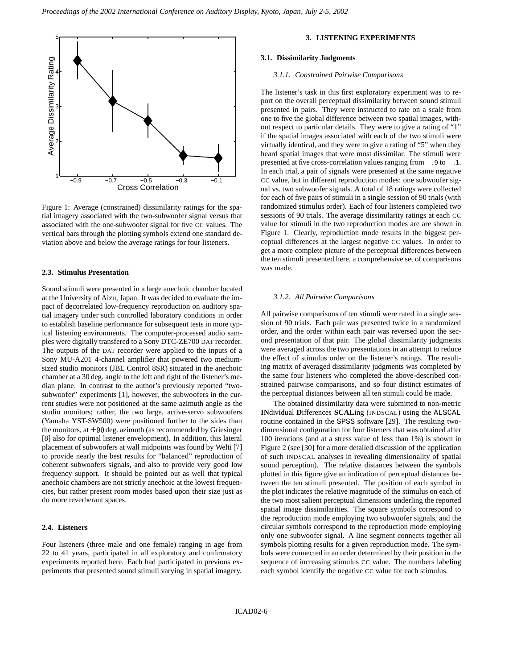

Figure 1: Average (constrained) dissimilarity ratings for the spatial imagery associated with the two-subwoofer signal versus that associated with the one-subwoofer signal for five CC values. The vertical bars through the plotting symbols extend one standard deviation above and below the average ratings for four listeners.

### **2.3. Stimulus Presentation**

Sound stimuli were presented in a large anechoic chamber located at the University of Aizu, Japan. It was decided to evaluate the impact of decorrelated low-frequency reproduction on auditory spatial imagery under such controlled laboratory conditions in order to establish baseline performance for subsequent tests in more typical listening environments. The computer-processed audio samples were digitally transfered to a Sony DTC-ZE700 DAT recorder. The outputs of the DAT recorder were applied to the inputs of a Sony MU-A201 4-channel amplifier that powered two mediumsized studio monitors (JBL Control 8SR) situated in the anechoic chamber at a 30 deg. angle to the left and right of the listener's median plane. In contrast to the author's previously reported "twosubwoofer" experiments [1], however, the subwoofers in the current studies were not positioned at the same azimuth angle as the studio monitors; rather, the two large, active-servo subwoofers (Yamaha YST-SW500) were positioned further to the sides than the monitors, at  $\pm 90$  deg. azimuth (as recommended by Griesinger [8] also for optimal listener envelopment). In addition, this lateral placement of subwoofers at wall midpoints was found by Welti [7] to provide nearly the best results for "balanced" reproduction of coherent subwoofers signals, and also to provide very good low frequency support. It should be pointed out as well that typical anechoic chambers are not strictly anechoic at the lowest frequencies, but rather present room modes based upon their size just as do more reverberant spaces.

# **2.4. Listeners**

Four listeners (three male and one female) ranging in age from 22 to 41 years, participated in all exploratory and confirmatory experiments reported here. Each had participated in previous experiments that presented sound stimuli varying in spatial imagery.

# **3. LISTENING EXPERIMENTS**

#### **3.1. Dissimilarity Judgments**

#### *3.1.1. Constrained Pairwise Comparisons*

The listener's task in this first exploratory experiment was to report on the overall perceptual dissimilarity between sound stimuli presented in pairs. They were instructed to rate on a scale from one to five the global difference between two spatial images, without respect to particular details. They were to give a rating of "1" if the spatial images associated with each of the two stimuli were virtually identical, and they were to give a rating of "5" when they heard spatial images that were most dissimilar. The stimuli were presented at five cross-correlation values ranging from  $-9$  to  $-1$ . In each trial, a pair of signals were presented at the same negative CC value, but in different reproduction modes: one subwoofer signal vs. two subwoofer signals. A total of 18 ratings were collected for each of five pairs of stimuli in a single session of 90 trials (with randomized stimulus order). Each of four listeners completed two sessions of 90 trials. The average dissimilarity ratings at each CC value for stimuli in the two reproduction modes are are shown in Figure 1. Clearly, reproduction mode results in the biggest perceptual differences at the largest negative CC values. In order to get a more complete picture of the perceptual differences between the ten stimuli presented here, a comprehensive set of comparisons was made.

### *3.1.2. All Pairwise Comparisons*

All pairwise comparisons of ten stimuli were rated in a single session of 90 trials. Each pair was presented twice in a randomized order, and the order within each pair was reversed upon the second presentation of that pair. The global dissimilarity judgments were averaged across the two presentations in an attempt to reduce the effect of stimulus order on the listener's ratings. The resulting matrix of averaged dissimilarity judgments was completed by the same four listeners who completed the above-described constrained pairwise comparisons, and so four distinct estimates of the perceptual distances between all ten stimuli could be made.

The obtained dissimilarity data were submitted to non-metric **IN**dividual **D**ifferences **SCAL**ing (INDSCAL) using the ALSCAL routine contained in the SPSS software [29]. The resulting twodimensional configuration for four listeners that was obtained after 100 iterations (and at a stress value of less than 1%) is shown in Figure 2 (see [30] for a more detailed discussion of the application of such INDSCAL analyses in revealing dimensionality of spatial sound perception). The relative distances between the symbols plotted in this figure give an indication of perceptual distances between the ten stimuli presented. The position of each symbol in the plot indicates the relative magnitude of the stimulus on each of the two most salient perceptual dimensions underling the reported spatial image dissimilarities. The square symbols correspond to the reproduction mode employing two subwoofer signals, and the circular symbols correspond to the reproduction mode employing only one subwoofer signal. A line segment connects together all symbols plotting results for a given reproduction mode. The symbols were connected in an order determined by their position in the sequence of increasing stimulus CC value. The numbers labeling each symbol identify the negative CC value for each stimulus.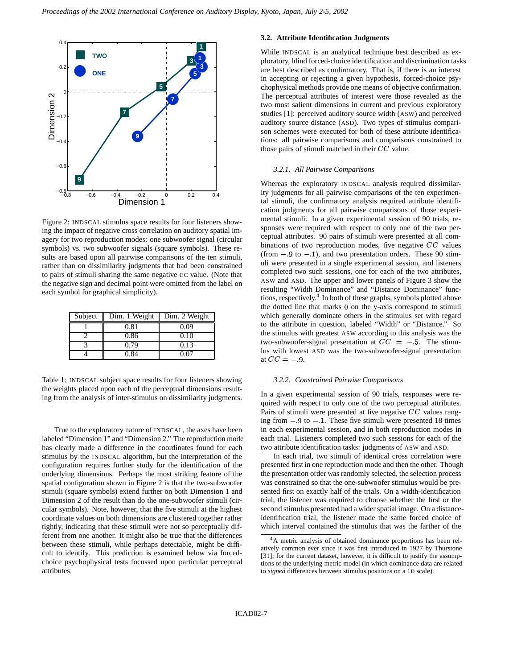

Figure 2: INDSCAL stimulus space results for four listeners showing the impact of negative cross correlation on auditory spatial imagery for two reproduction modes: one subwoofer signal (circular symbols) vs. two subwoofer signals (square symbols). These results are based upon all pairwise comparisons of the ten stimuli, rather than on dissimilarity judgments that had been constrained to pairs of stimuli sharing the same negative CC value. (Note that the negative sign and decimal point were omitted from the label on each symbol for graphical simplicity).

| Subject | Dim. 1 Weight | Dim. 2 Weight |
|---------|---------------|---------------|
|         | 0.81          | 0.09          |
|         | 0.86          | 0.10          |
|         | 0.79          | 0.13          |
|         | 0.84          | 0 07          |

Table 1: INDSCAL subject space results for four listeners showing the weights placed upon each of the perceptual dimensions resulting from the analysis of inter-stimulus on dissimilarity judgments.

True to the exploratory nature of INDSCAL, the axes have been labeled "Dimension 1" and "Dimension 2." The reproduction mode has clearly made a difference in the coordinates found for each stimulus by the INDSCAL algorithm, but the interpretation of the configuration requires further study for the identification of the underlying dimensions. Perhaps the most striking feature of the spatial configuration shown in Figure 2 is that the two-subwoofer stimuli (square symbols) extend further on both Dimension 1 and Dimension 2 of the result than do the one-subwoofer stimuli (circular symbols). Note, however, that the five stimuli at the highest coordinate values on both dimensions are clustered together rather tightly, indicating that these stimuli were not so perceptually different from one another. It might also be true that the differences between these stimuli, while perhaps detectable, might be difficult to identify. This prediction is examined below via forcedchoice psychophysical tests focussed upon particular perceptual attributes.

# **3.2. Attribute Identification Judgments**

While INDSCAL is an analytical technique best described as exploratory, blind forced-choice identification and discrimination tasks are best described as confirmatory. That is, if there is an interest in accepting or rejecting a given hypothesis, forced-choice psychophysical methods provide one means of objective confirmation. The perceptual attributes of interest were those revealed as the two most salient dimensions in current and previous exploratory studies [1]: perceived auditory source width (ASW) and perceived auditory source distance (ASD). Two types of stimulus comparison schemes were executed for both of these attribute identifications: all pairwise comparisons and comparisons constrained to those pairs of stimuli matched in their  $CC$  value.

# *3.2.1. All Pairwise Comparisons*

Whereas the exploratory INDSCAL analysis required dissimilarity judgments for all pairwise comparisons of the ten experimental stimuli, the confirmatory analysis required attribute identification judgments for all pairwise comparisons of those experimental stimuli. In a given experimental session of 90 trials, responses were required with respect to only one of the two perceptual attributes. 90 pairs of stimuli were presented at all combinations of two reproduction modes, five negative  $CC$  values  $(from - 9 to - 1)$ , and two presentation orders. These 90 stimuli were presented in a single experimental session, and listeners completed two such sessions, one for each of the two attributes, ASW and ASD. The upper and lower panels of Figure 3 show the resulting "Width Dominance" and "Distance Dominance" functions, respectively. 4 In both of these graphs, symbols plotted above the dotted line that marks 0 on the y-axis correspond to stimuli which generally dominate others in the stimulus set with regard to the attribute in question, labeled "Width" or "Distance." So the stimulus with greatest ASW according to this analysis was the two-subwoofer-signal presentation at  $CC = -5$ . The stimulus with lowest ASD was the two-subwoofer-signal presentation at  $CC = -9$ .

#### *3.2.2. Constrained Pairwise Comparisons*

In a given experimental session of 90 trials, responses were required with respect to only one of the two perceptual attributes. Pairs of stimuli were presented at five negative  $CC$  values ranging from  $-9$  to  $-1$ . These five stimuli were presented 18 times in each experimental session, and in both reproduction modes in each trial. Listeners completed two such sessions for each of the two attribute identification tasks: judgments of ASW and ASD.

In each trial, two stimuli of identical cross correlation were presented first in one reproduction mode and then the other. Though the presentation order was randomly selected, the selection process was constrained so that the one-subwoofer stimulus would be presented first on exactly half of the trials. On a width-identification trial, the listener was required to choose whether the first or the second stimulus presented had a wider spatial image. On a distanceidentification trial, the listener made the same forced choice of which interval contained the stimulus that was the farther of the

<sup>&</sup>lt;sup>4</sup>A metric analysis of obtained dominance proportions has been relatively common ever since it was first introduced in 1927 by Thurstone [31]; for the current dataset, however, it is difficult to justify the assumptions of the underlying metric model (in which dominance data are related to *signed* differences between stimulus positions on a 1D scale).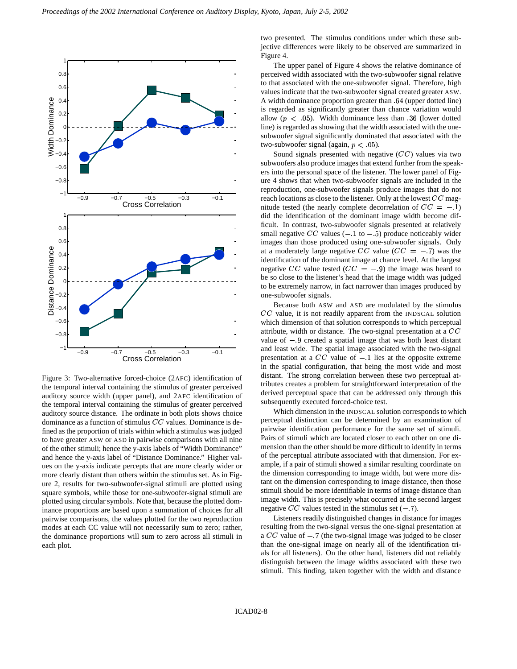

Figure 3: Two-alternative forced-choice (2AFC) identification of the temporal interval containing the stimulus of greater perceived auditory source width (upper panel), and 2AFC identification of the temporal interval containing the stimulus of greater perceived auditory source distance. The ordinate in both plots shows choice dominance as a function of stimulus  $CC$  values. Dominance is defined as the proportion of trials within which a stimulus was judged to have greater ASW or ASD in pairwise comparisons with all nine of the other stimuli; hence the y-axis labels of "Width Dominance" and hence the y-axis label of "Distance Dominance." Higher values on the y-axis indicate percepts that are more clearly wider or more clearly distant than others within the stimulus set. As in Figure 2, results for two-subwoofer-signal stimuli are plotted using square symbols, while those for one-subwoofer-signal stimuli are plotted using circular symbols. Note that, because the plotted dominance proportions are based upon a summation of choices for all pairwise comparisons, the values plotted for the two reproduction modes at each CC value will not necessarily sum to zero; rather, the dominance proportions will sum to zero across all stimuli in each plot.

two presented. The stimulus conditions under which these subjective differences were likely to be observed are summarized in Figure 4.

The upper panel of Figure 4 shows the relative dominance of perceived width associated with the two-subwoofer signal relative to that associated with the one-subwoofer signal. Therefore, high values indicate that the two-subwoofer signal created greater ASW. A width dominance proportion greater than .64 (upper dotted line) is regarded as significantly greater than chance variation would allow  $(p < 0.05)$ . Width dominance less than 36 (lower dotted line) is regarded as showing that the width associated with the onesubwoofer signal significantly dominated that associated with the two-subwoofer signal (again,  $p < 05$ ).

Sound signals presented with negative  $(CC)$  values via two subwoofers also produce images that extend further from the speakers into the personal space of the listener. The lower panel of Figure 4 shows that when two-subwoofer signals are included in the reproduction, one-subwoofer signals produce images that do not reach locations as close to the listener. Only at the lowest  $CC$  magnitude tested (the nearly complete decorrelation of  $CC = -1$ ) did the identification of the dominant image width become difficult. In contrast, two-subwoofer signals presented at relatively small negative  $CC$  values  $(-.1 \text{ to } -5)$  produce noticeably wider images than those produced using one-subwoofer signals. Only at a moderately large negative CC value  $(CC = -7)$  was the identification of the dominant image at chance level. At the largest negative CC value tested ( $CC = -9$ ) the image was heard to be so close to the listener's head that the image width was judged to be extremely narrow, in fact narrower than images produced by one-subwoofer signals.

Because both ASW and ASD are modulated by the stimulus  $CC$  value, it is not readily apparent from the INDSCAL solution which dimension of that solution corresponds to which perceptual attribute, width or distance. The two-signal presentation at a  $CC$ value of  $-9$  created a spatial image that was both least distant and least wide. The spatial image associated with the two-signal presentation at a  $CC$  value of  $-1$  lies at the opposite extreme in the spatial configuration, that being the most wide and most distant. The strong correlation between these two perceptual attributes creates a problem for straightforward interpretation of the derived perceptual space that can be addressed only through this subsequently executed forced-choice test.

Which dimension in the INDSCAL solution corresponds to which perceptual distinction can be determined by an examination of pairwise identification performance for the same set of stimuli. Pairs of stimuli which are located closer to each other on one dimension than the other should be more difficult to identify in terms of the perceptual attribute associated with that dimension. For example, if a pair of stimuli showed a similar resulting coordinate on the dimension corresponding to image width, but were more distant on the dimension corresponding to image distance, then those stimuli should be more identifiable in terms of image distance than image width. This is precisely what occurred at the second largest negative  $CC$  values tested in the stimulus set  $(-7)$ .

Listeners readily distinguished changes in distance for images resulting from the two-signal versus the one-signal presentation at a  $CC$  value of  $-7$  (the two-signal image was judged to be closer than the one-signal image on nearly all of the identification trials for all listeners). On the other hand, listeners did not reliably distinguish between the image widths associated with these two stimuli. This finding, taken together with the width and distance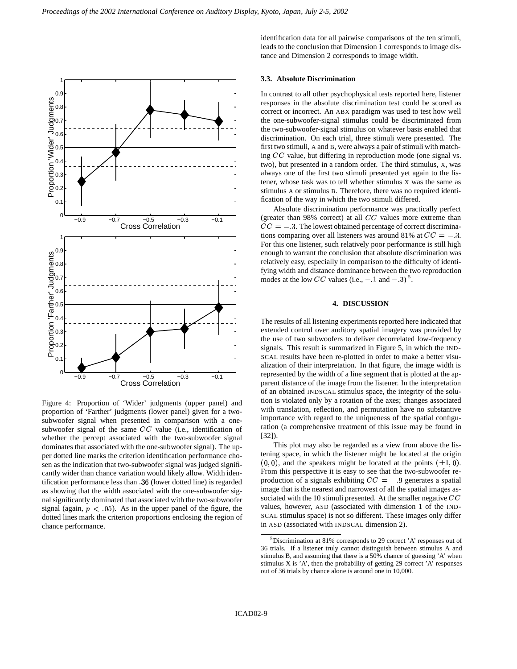

Figure 4: Proportion of 'Wider' judgments (upper panel) and proportion of 'Farther' judgments (lower panel) given for a twosubwoofer signal when presented in comparison with a onesubwoofer signal of the same  $CC$  value (i.e., identification of whether the percept associated with the two-subwoofer signal dominates that associated with the one-subwoofer signal). The upper dotted line marks the criterion identification performance chosen as the indication that two-subwoofer signal was judged significantly wider than chance variation would likely allow. Width identification performance less than 36 (lower dotted line) is regarded as showing that the width associated with the one-subwoofer signal significantly dominated that associated with the two-subwoofer signal (again,  $p < 0.05$ ). As in the upper panel of the figure, the dotted lines mark the criterion proportions enclosing the region of chance performance.

identification data for all pairwise comparisons of the ten stimuli, leads to the conclusion that Dimension 1 corresponds to image distance and Dimension 2 corresponds to image width.

#### **3.3. Absolute Discrimination**

In contrast to all other psychophysical tests reported here, listener responses in the absolute discrimination test could be scored as correct or incorrect. An ABX paradigm was used to test how well the one-subwoofer-signal stimulus could be discriminated from the two-subwoofer-signal stimulus on whatever basis enabled that discrimination. On each trial, three stimuli were presented. The first two stimuli, A and B, were always a pair of stimuli with matching  $CC$  value, but differing in reproduction mode (one signal vs. two), but presented in a random order. The third stimulus, X, was always one of the first two stimuli presented yet again to the listener, whose task was to tell whether stimulus X was the same as stimulus A or stimulus B. Therefore, there was no required identification of the way in which the two stimuli differed.

Absolute discrimination performance was practically perfect (greater than  $98\%$  correct) at all  $CC$  values more extreme than  $CC = -3$ . The lowest obtained percentage of correct discriminations comparing over all listeners was around 81% at  $CC = -3$ . For this one listener, such relatively poor performance is still high enough to warrant the conclusion that absolute discrimination was relatively easy, especially in comparison to the difficulty of identifying width and distance dominance between the two reproduction modes at the low CC values (i.e.,  $-1$  and  $-3$ )<sup>5</sup>.

## **4. DISCUSSION**

The results of all listening experiments reported here indicated that extended control over auditory spatial imagery was provided by the use of two subwoofers to deliver decorrelated low-frequency signals. This result is summarized in Figure 5, in which the IND-SCAL results have been re-plotted in order to make a better visualization of their interpretation. In that figure, the image width is represented by the width of a line segment that is plotted at the apparent distance of the image from the listener. In the interpretation of an obtained INDSCAL stimulus space, the integrity of the solution is violated only by a rotation of the axes; changes associated with translation, reflection, and permutation have no substantive importance with regard to the uniqueness of the spatial configuration (a comprehensive treatment of this issue may be found in [32]).

This plot may also be regarded as a view from above the listening space, in which the listener might be located at the origin  $(0, 0)$ , and the speakers might be located at the points  $(\pm 1, 0)$ . From this perspective it is easy to see that the two-subwoofer reproduction of a signals exhibiting  $CC = -9$  generates a spatial image that is the nearest and narrowest of all the spatial images associated with the 10 stimuli presented. At the smaller negative  $CC$ values, however, ASD (associated with dimension 1 of the IND-SCAL stimulus space) is not so different. These images only differ in ASD (associated with INDSCAL dimension 2).

<sup>&</sup>lt;sup>5</sup>Discrimination at 81% corresponds to 29 correct 'A' responses out of 36 trials. If a listener truly cannot distinguish between stimulus A and stimulus B, and assuming that there is a 50% chance of guessing 'A' when stimulus  $X$  is 'A', then the probability of getting 29 correct 'A' responses out of 36 trials by chance alone is around one in 10,000.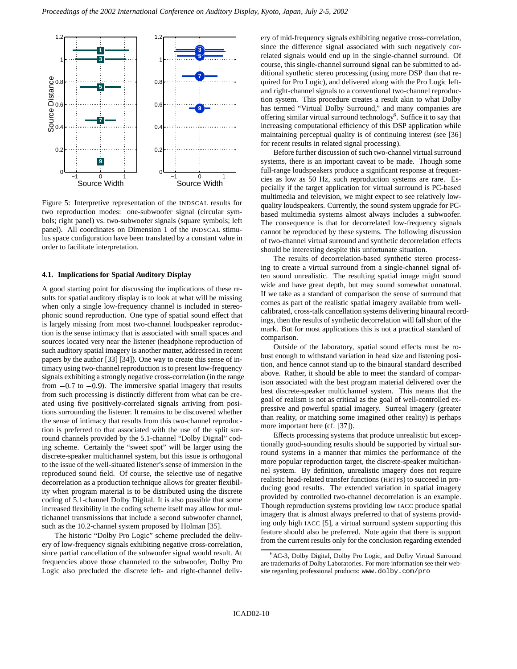

Figure 5: Interpretive representation of the INDSCAL results for two reproduction modes: one-subwoofer signal (circular symbols; right panel) vs. two-subwoofer signals (square symbols; left panel). All coordinates on Dimension 1 of the INDSCAL stimulus space configuration have been translated by a constant value in order to facilitate interpretation.

### **4.1. Implications for Spatial Auditory Display**

A good starting point for discussing the implications of these results for spatial auditory display is to look at what will be missing when only a single low-frequency channel is included in stereophonic sound reproduction. One type of spatial sound effect that is largely missing from most two-channel loudspeaker reproduction is the sense intimacy that is associated with small spaces and sources located very near the listener (headphone reproduction of such auditory spatial imagery is another matter, addressed in recent papers by the author [33] [34]). One way to create this sense of intimacy using two-channel reproduction isto present low-frequency signals exhibiting a strongly negative cross-correlation (in the range from  $-0.7$  to  $-0.9$ ). The immersive spatial imagery that results from such processing is distinctly different from what can be created using five positively-correlated signals arriving from positions surrounding the listener. It remains to be discovered whether the sense of intimacy that results from this two-channel reproduction is preferred to that associated with the use of the split surround channels provided by the 5.1-channel "Dolby Digital" coding scheme. Certainly the "sweet spot" will be larger using the discrete-speaker multichannel system, but this issue is orthogonal to the issue of the well-situated listener's sense of immersion in the reproduced sound field. Of course, the selective use of negative decorrelation as a production technique allows for greater flexibility when program material is to be distributed using the discrete coding of 5.1-channel Dolby Digital. It is also possible that some increased flexibility in the coding scheme itself may allow for multichannel transmissions that include a second subwoofer channel, such as the 10.2-channel system proposed by Holman [35].

The historic "Dolby Pro Logic" scheme precluded the delivery of low-frequency signals exhibiting negative cross-correlation, since partial cancellation of the subwoofer signal would result. At frequencies above those channeled to the subwoofer, Dolby Pro Logic also precluded the discrete left- and right-channel delivery of mid-frequency signals exhibiting negative cross-correlation, since the difference signal associated with such negatively correlated signals would end up in the single-channel surround. Of course, this single-channel surround signal can be submitted to additional synthetic stereo processing (using more DSP than that required for Pro Logic), and delivered along with the Pro Logic leftand right-channel signals to a conventional two-channel reproduction system. This procedure creates a result akin to what Dolby has termed "Virtual Dolby Surround," and many companies are offering similar virtual surround technology<sup>6</sup>. Suffice it to say that increasing computational efficiency of this DSP application while maintaining perceptual quality is of continuing interest (see [36] for recent results in related signal processing).

Before further discussion of such two-channel virtual surround systems, there is an important caveat to be made. Though some full-range loudspeakers produce a significant response at frequencies as low as 50 Hz, such reproduction systems are rare. Especially if the target application for virtual surround is PC-based multimedia and television, we might expect to see relatively lowquality loudspeakers. Currently, the sound system upgrade for PCbased multimedia systems almost always includes a subwoofer. The consequence is that for decorrelated low-frequency signals cannot be reproduced by these systems. The following discussion of two-channel virtual surround and synthetic decorrelation effects should be interesting despite this unfortunate situation.

The results of decorrelation-based synthetic stereo processing to create a virtual surround from a single-channel signal often sound unrealistic. The resulting spatial image might sound wide and have great depth, but may sound somewhat unnatural. If we take as a standard of comparison the sense of surround that comes as part of the realistic spatial imagery available from wellcalibrated, cross-talk cancellation systems delivering binaural recordings, then the results of synthetic decorrelation will fall short of the mark. But for most applications this is not a practical standard of comparison.

Outside of the laboratory, spatial sound effects must be robust enough to withstand variation in head size and listening position, and hence cannot stand up to the binaural standard described above. Rather, it should be able to meet the standard of comparison associated with the best program material delivered over the best discrete-speaker multichannel system. This means that the goal of realism is not as critical as the goal of well-controlled expressive and powerful spatial imagery. Surreal imagery (greater than reality, or matching some imagined other reality) is perhaps more important here (cf. [37]).

Effects processing systems that produce unrealistic but exceptionally good-sounding results should be supported by virtual surround systems in a manner that mimics the performance of the more popular reproduction target, the discrete-speaker multichannel system. By definition, unrealistic imagery does not require realistic head-related transfer functions (HRTFs) to succeed in producing good results. The extended variation in spatial imagery provided by controlled two-channel decorrelation is an example. Though reproduction systems providing low IACC produce spatial imagery that is almost always preferred to that of systems providing only high IACC [5], a virtual surround system supporting this feature should also be preferred. Note again that there is support from the current results only for the conclusion regarding extended

<sup>6</sup>AC-3, Dolby Digital, Dolby Pro Logic, and Dolby Virtual Surround are trademarks of Dolby Laboratories. For more information see their website regarding professional products: www.dolby.com/pro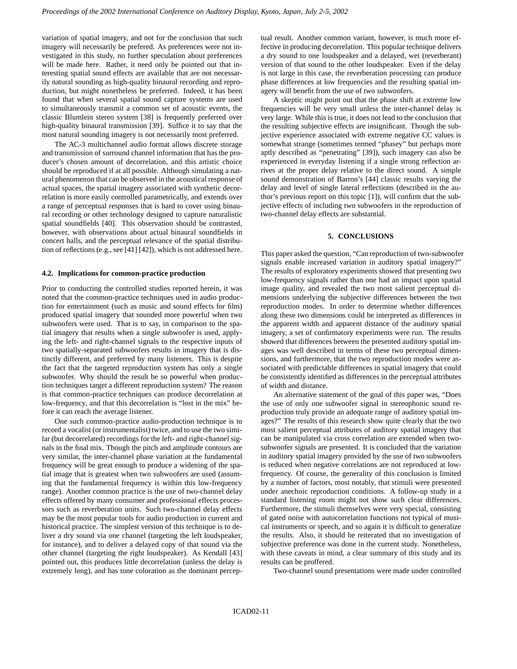variation of spatial imagery, and not for the conclusion that such imagery will necessarily be prefered. As preferences were not investigated in this study, no further speculation about preferences will be made here. Rather, it need only be pointed out that interesting spatial sound effects are available that are not necessarily natural sounding as high-quality binaural recording and reproduction, but might nonetheless be preferred. Indeed, it has been found that when several spatial sound capture systems are used to simultaneously transmit a common set of acoustic events, the classic Blumlein stereo system [38] is frequently preferred over high-quality binaural transmission [39]. Suffice it to say that the most natural sounding imagery is not necessarily most preferred.

The AC-3 multichannel audio format allows discrete storage and transmission of surround channel information that has the producer's chosen amount of decorrelation, and this artistic choice should be reproduced if at all possible. Although simulating a natural phenomenon that can be observed in the acoustical response of actual spaces, the spatial imagery associated with synthetic decorrelation is more easily controlled parametrically, and extends over a range of perceptual responses that is hard to cover using binaural recording or other technology designed to capture naturalistic spatial soundfields [40]. This observation should be contrasted, however, with observations about actual binaural soundfields in concert halls, and the perceptual relevance of the spatial distribution of reflections (e.g., see [41] [42]), which is not addressed here.

#### **4.2. Implications for common-practice production**

Prior to conducting the controlled studies reported herein, it was noted that the common-practice techniques used in audio production for entertainment (such as music and sound effects for film) produced spatial imagery that sounded more powerful when two subwoofers were used. That is to say, in comparison to the spatial imagery that results when a single subwoofer is used, applying the left- and right-channel signals to the respective inputs of two spatially-separated subwoofers results in imagery that is distinctly different, and preferred by many listeners. This is despite the fact that the targeted reproduction system has only a single subwoofer. Why should the result be so powerful when production techniques target a different reproduction system? The reason is that common-practice techniques can produce decorrelation at low-frequency, and that this decorrelation is "lost in the mix" before it can reach the average listener.

One such common-practice audio-production technique is to record a vocalist (or instrumentalist) twice, and to use the two similar (but decorrelated) recordings for the left- and right-channel signals in the final mix. Though the pitch and amplitude contours are very similar, the inter-channel phase variation at the fundamental frequency will be great enough to produce a widening of the spatial image that is greatest when two subwoofers are used (assuming that the fundamental frequency is within this low-frequency range). Another common practice is the use of two-channel delay effects offered by many consumer and professional effects processors such as reverberation units. Such two-channel delay effects may be the most popular tools for audio production in current and historical practice. The simplest version of this technique is to deliver a dry sound via one channel (targeting the left loudspeaker, for instance), and to deliver a delayed copy of that sound via the other channel (targeting the right loudspeaker). As Kendall [43] pointed out, this produces little decorrelation (unless the delay is extremely long), and has tone coloration as the dominant perceptual result. Another common variant, however, is much more effective in producing decorrelation. This popular technique delivers a dry sound to one loudspeaker and a delayed, wet (reverberant) version of that sound to the other loudspeaker. Even if the delay is not large in this case, the reverberation processing can produce phase differences at low frequencies and the resulting spatial imagery will benefit from the use of two subwoofers.

A skeptic might point out that the phase shift at extreme low frequencies will be very small unless the inter-channel delay is very large. While this is true, it does not lead to the conclusion that the resulting subjective effects are insignificant. Though the subjective experience associated with extreme negative CC values is somewhat strange (sometimes termed "phasey" but perhaps more aptly described as "penetrating" [39]), such imagery can also be experienced in everyday listening if a single strong reflection arrives at the proper delay relative to the direct sound. A simple sound demonstration of Barron's [44] classic results varying the delay and level of single lateral reflections (described in the author's previous report on this topic [1]), will confirm that the subjective effects of including two subwoofers in the reproduction of two-channel delay effects are substantial.

# **5. CONCLUSIONS**

This paper asked the question, "Can reproduction of two-subwoofer signals enable increased variation in auditory spatial imagery?" The results of exploratory experiments showed that presenting two low-frequency signals rather than one had an impact upon spatial image quality, and revealed the two most salient perceptual dimensions underlying the subjective differences between the two reproduction modes. In order to determine whether differences along these two dimensions could be interpreted as differences in the apparent width and apparent distance of the auditory spatial imagery, a set of confirmatory experiments were run. The results showed that differences between the presented auditory spatial images was well described in terms of these two perceptual dimensions, and furthermore, that the two reproduction modes were associated with predictable differences in spatial imagery that could be consistently identified as differences in the perceptual attributes of width and distance.

An alternative statement of the goal of this paper was, "Does the use of only one subwoofer signal in stereophonic sound reproduction truly provide an adequate range of auditory spatial images?" The results of this research show quite clearly that the two most salient perceptual attributes of auditory spatial imagery that can be manipulated via cross correlation are extended when twosubwoofer signals are presented. It is concluded that the variation in auditory spatial imagery provided by the use of two subwoofers is reduced when negative correlations are not reproduced at lowfrequency. Of course, the generality of this conclusion is limited by a number of factors, most notably, that stimuli were presented under anechoic reproduction conditions. A follow-up study in a standard listening room might not show such clear differences. Furthermore, the stimuli themselves were very special, consisting of gated noise with autocorrelation functions not typical of musical instruments or speech, and so again it is difficult to generalize the results. Also, it should be reiterated that no investigation of subjective preference was done in the current study. Nonetheless, with these caveats in mind, a clear summary of this study and its results can be proffered.

Two-channel sound presentations were made under controlled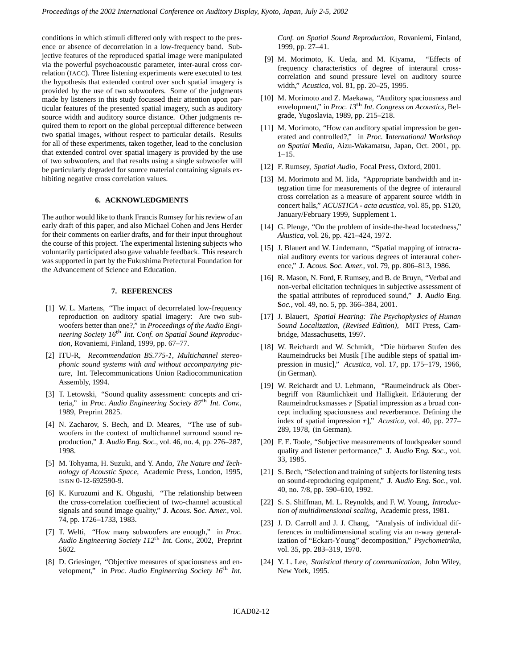conditions in which stimuli differed only with respect to the presence or absence of decorrelation in a low-frequency band. Subjective features of the reproduced spatial image were manipulated via the powerful psychoacoustic parameter, inter-aural cross correlation (IACC). Three listening experiments were executed to test the hypothesis that extended control over such spatial imagery is provided by the use of two subwoofers. Some of the judgments made by listeners in this study focussed their attention upon particular features of the presented spatial imagery, such as auditory source width and auditory source distance. Other judgments required them to report on the global perceptual difference between two spatial images, without respect to particular details. Results for all of these experiments, taken together, lead to the conclusion that extended control over spatial imagery is provided by the use of two subwoofers, and that results using a single subwoofer will be particularly degraded for source material containing signals exhibiting negative cross correlation values.

# **6. ACKNOWLEDGMENTS**

The author would like to thank Francis Rumsey for his review of an early draft of this paper, and also Michael Cohen and Jens Herder for their comments on earlier drafts, and for their input throughout the course of this project. The experimental listening subjects who voluntarily participated also gave valuable feedback. This research was supported in part by the Fukushima Prefectural Foundation for the Advancement of Science and Education.

# **7. REFERENCES**

- [1] W. L. Martens, "The impact of decorrelated low-frequency reproduction on auditory spatial imagery: Are two subwoofers better than one?," in *Proceedings of the Audio Engineering Society 16 Int.Conf. on Spatial Sound Reproduction*, Rovaniemi, Finland, 1999, pp. 67–77.
- [2] ITU-R, *Recommendation BS.775-1, Multichannel stereophonic sound systems with and without accompanying picture*, Int. Telecommunications Union Radiocommunication Assembly, 1994.
- [3] T. Letowski, "Sound quality assessment: concepts and criteria," in *Proc. Audio Engineering Society 87 Int. Conv.*, 1989, Preprint 2825.
- [4] N. Zacharov, S. Bech, and D. Meares, "The use of subwoofers in the context of multichannel surround sound reproduction," **J***.* **A***udio* **E***ng.* **S***oc.*, vol. 46, no. 4, pp. 276–287, 1998.
- [5] M. Tohyama, H. Suzuki, and Y. Ando, *The Nature and Technology of Acoustic Space*, Academic Press, London, 1995, ISBN 0-12-692590-9.
- [6] K. Kurozumi and K. Ohgushi, "The relationship between the cross-correlation coeffiecient of two-channel acoustical signals and sound image quality," **J***.* **A***cous.* **S***oc.* **A***mer.*, vol. 74, pp. 1726–1733, 1983.
- [7] T. Welti, "How many subwoofers are enough," in *Proc. Audio Engineering Society 112 Int.Conv.*, 2002, Preprint 5602.
- [8] D. Griesinger, "Objective measures of spaciousness and envelopment," in *Proc. Audio Engineering Society 16 Int.*

*Conf. on Spatial Sound Reproduction*, Rovaniemi, Finland, 1999, pp. 27–41.

- [9] M. Morimoto, K. Ueda, and M. Kiyama, "Effects of frequency characteristics of degree of interaural crosscorrelation and sound pressure level on auditory source width," *Acustica*, vol. 81, pp. 20–25, 1995.
- [10] M. Morimoto and Z. Maekawa, "Auditory spaciousness and envelopment," in *Proc. 13 Int. Congress on Acoustics*, Belgrade, Yugoslavia, 1989, pp. 215–218.
- [11] M. Morimoto, "How can auditory spatial impression be generated and controlled?," in *Proc.* **I***nternational* **W***orkshop on* **S***patial* **M***edia*, Aizu-Wakamatsu, Japan, Oct. 2001, pp. 1–15.
- [12] F. Rumsey, *Spatial Audio*, Focal Press, Oxford, 2001.
- [13] M. Morimoto and M. Iida, "Appropriate bandwidth and integration time for measurements of the degree of interaural cross correlation as a measure of apparent source width in concert halls," *ACUSTICA - acta acustica*, vol. 85, pp. S120, January/February 1999, Supplement 1.
- [14] G. Plenge, "On the problem of inside-the-head locatedness," *Akustica*, vol. 26, pp. 421–424, 1972.
- [15] J. Blauert and W. Lindemann, "Spatial mapping of intracranial auditory events for various degrees of interaural coherence," **J***.* **A***cous.* **S***oc.* **A***mer.*, vol. 79, pp. 806–813, 1986.
- [16] R. Mason, N. Ford, F. Rumsey, and B. de Bruyn, "Verbal and non-verbal elicitation techniques in subjective assessment of the spatial attributes of reproduced sound," **J***.* **A***udio* **E***ng.* **S***oc.*, vol. 49, no. 5, pp. 366–384, 2001.
- [17] J. Blauert, *Spatial Hearing: The Psychophysics of Human Sound Localization, (Revised Edition)*, MIT Press, Cambridge, Massachusetts, 1997.
- [18] W. Reichardt and W. Schmidt, "Die hörbaren Stufen des Raumeindrucks bei Musik [The audible steps of spatial impression in music]," *Acustica*, vol. 17, pp. 175–179, 1966, (in German).
- [19] W. Reichardt and U. Lehmann, "Raumeindruck als Oberbegriff von Räumlichkeit und Halligkeit. Erläuterung der Raumeindrucksmasses  $r$  [Spatial impression as a broad concept including spaciousness and reverberance. Defining the index of spatial impression r]," *Acustica*, vol. 40, pp. 277– 289, 1978, (in German).
- [20] F. E. Toole, "Subjective measurements of loudspeaker sound quality and listener performance," **J***.* **A***udio* **E***ng.* **S***oc.*, vol. 33, 1985.
- [21] S. Bech, "Selection and training of subjects for listening tests on sound-reproducing equipment," **J***.* **A***udio* **E***ng.* **S***oc.*, vol. 40, no. 7/8, pp. 590–610, 1992.
- [22] S. S. Shiffman, M. L. Reynolds, and F. W. Young, *Introduction of multidimensional scaling*, Academic press, 1981.
- [23] J. D. Carroll and J. J. Chang, "Analysis of individual differences in multidimensional scaling via an n-way generalization of "Eckart-Young" decomposition," *Psychometrika*, vol. 35, pp. 283–319, 1970.
- [24] Y. L. Lee, *Statistical theory of communication*, John Wiley, New York, 1995.